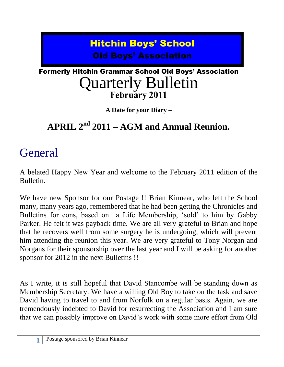# Hitchin Boys' School Old Boys' Association

## Formerly Hitchin Grammar School Old Boys' Association Quarterly Bulletin **February 2011**

**A Date for your Diary –**

## **APRIL 2nd 2011 – AGM and Annual Reunion.**

# **General**

A belated Happy New Year and welcome to the February 2011 edition of the Bulletin.

We have new Sponsor for our Postage !! Brian Kinnear, who left the School many, many years ago, remembered that he had been getting the Chronicles and Bulletins for eons, based on a Life Membership, "sold" to him by Gabby Parker. He felt it was payback time. We are all very grateful to Brian and hope that he recovers well from some surgery he is undergoing, which will prevent him attending the reunion this year. We are very grateful to Tony Norgan and Norgans for their sponsorship over the last year and I will be asking for another sponsor for 2012 in the next Bulletins !!

As I write, it is still hopeful that David Stancombe will be standing down as Membership Secretary. We have a willing Old Boy to take on the task and save David having to travel to and from Norfolk on a regular basis. Again, we are tremendously indebted to David for resurrecting the Association and I am sure that we can possibly improve on David"s work with some more effort from Old

**1**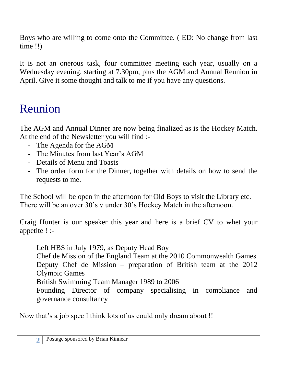Boys who are willing to come onto the Committee. ( ED: No change from last time !!)

It is not an onerous task, four committee meeting each year, usually on a Wednesday evening, starting at 7.30pm, plus the AGM and Annual Reunion in April. Give it some thought and talk to me if you have any questions.

# Reunion

The AGM and Annual Dinner are now being finalized as is the Hockey Match. At the end of the Newsletter you will find :-

- The Agenda for the AGM
- The Minutes from last Year's AGM
- Details of Menu and Toasts
- The order form for the Dinner, together with details on how to send the requests to me.

The School will be open in the afternoon for Old Boys to visit the Library etc. There will be an over 30's v under 30's Hockey Match in the afternoon.

Craig Hunter is our speaker this year and here is a brief CV to whet your appetite ! :-

Left HBS in July 1979, as Deputy Head Boy Chef de Mission of the England Team at the 2010 Commonwealth Games Deputy Chef de Mission – preparation of British team at the 2012 Olympic Games British Swimming Team Manager 1989 to 2006 Founding Director of company specialising in compliance and governance consultancy

Now that's a job spec I think lots of us could only dream about !!

**2**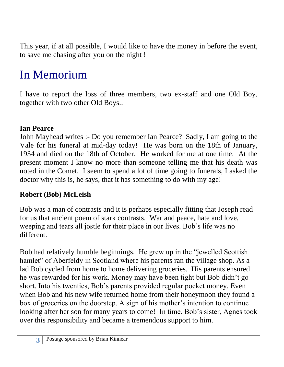This year, if at all possible, I would like to have the money in before the event, to save me chasing after you on the night !

# In Memorium

I have to report the loss of three members, two ex-staff and one Old Boy, together with two other Old Boys..

### **Ian Pearce**

John Mayhead writes :- Do you remember Ian Pearce? Sadly, I am going to the Vale for his funeral at mid-day today! He was born on the 18th of January, 1934 and died on the 18th of October. He worked for me at one time. At the present moment I know no more than someone telling me that his death was noted in the Comet. I seem to spend a lot of time going to funerals, I asked the doctor why this is, he says, that it has something to do with my age!

### **Robert (Bob) McLeish**

Bob was a man of contrasts and it is perhaps especially fitting that Joseph read for us that ancient poem of stark contrasts. War and peace, hate and love, weeping and tears all jostle for their place in our lives. Bob"s life was no different.

Bob had relatively humble beginnings. He grew up in the "jewelled Scottish hamlet" of Aberfeldy in Scotland where his parents ran the village shop. As a lad Bob cycled from home to home delivering groceries. His parents ensured he was rewarded for his work. Money may have been tight but Bob didn"t go short. Into his twenties, Bob"s parents provided regular pocket money. Even when Bob and his new wife returned home from their honeymoon they found a box of groceries on the doorstep. A sign of his mother"s intention to continue looking after her son for many years to come! In time, Bob's sister, Agnes took over this responsibility and became a tremendous support to him.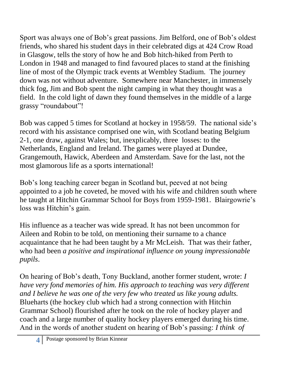Sport was always one of Bob"s great passions. Jim Belford, one of Bob"s oldest friends, who shared his student days in their celebrated digs at 424 Crow Road in Glasgow, tells the story of how he and Bob hitch-hiked from Perth to London in 1948 and managed to find favoured places to stand at the finishing line of most of the Olympic track events at Wembley Stadium. The journey down was not without adventure. Somewhere near Manchester, in immensely thick fog, Jim and Bob spent the night camping in what they thought was a field. In the cold light of dawn they found themselves in the middle of a large grassy "roundabout"!

Bob was capped 5 times for Scotland at hockey in 1958/59. The national side"s record with his assistance comprised one win, with Scotland beating Belgium 2-1, one draw, against Wales; but, inexplicably, three losses: to the Netherlands, England and Ireland. The games were played at Dundee, Grangemouth, Hawick, Aberdeen and Amsterdam. Save for the last, not the most glamorous life as a sports international!

Bob"s long teaching career began in Scotland but, peeved at not being appointed to a job he coveted, he moved with his wife and children south where he taught at Hitchin Grammar School for Boys from 1959-1981. Blairgowrie's loss was Hitchin's gain.

His influence as a teacher was wide spread. It has not been uncommon for Aileen and Robin to be told, on mentioning their surname to a chance acquaintance that he had been taught by a Mr McLeish. That was their father, who had been *a positive and inspirational influence on young impressionable pupils*.

On hearing of Bob"s death, Tony Buckland, another former student, wrote: *I have very fond memories of him. His approach to teaching was very different and I believe he was one of the very few who treated us like young adults.*  Blueharts (the hockey club which had a strong connection with Hitchin Grammar School) flourished after he took on the role of hockey player and coach and a large number of quality hockey players emerged during his time. And in the words of another student on hearing of Bob"s passing: *I think of*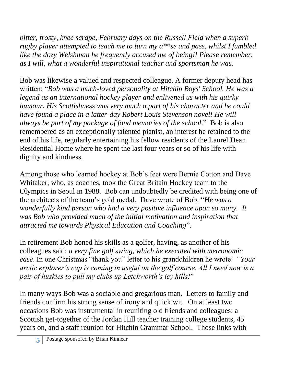*bitter, frosty, knee scrape, February days on the Russell Field when a superb rugby player attempted to teach me to turn my a\*\*se and pass, whilst I fumbled like the dozy Welshman he frequently accused me of being!! Please remember, as I will, what a wonderful inspirational teacher and sportsman he was*.

Bob was likewise a valued and respected colleague. A former deputy head has written: "*Bob was a much-loved personality at Hitchin Boys' School. He was a legend as an international hockey player and enlivened us with his quirky humour. His Scottishness was very much a part of his character and he could have found a place in a latter-day Robert Louis Stevenson novel! He will always be part of my package of fond memories of the school*." Bob is also remembered as an exceptionally talented pianist, an interest he retained to the end of his life, regularly entertaining his fellow residents of the Laurel Dean Residential Home where he spent the last four years or so of his life with dignity and kindness.

Among those who learned hockey at Bob"s feet were Bernie Cotton and Dave Whitaker, who, as coaches, took the Great Britain Hockey team to the Olympics in Seoul in 1988. Bob can undoubtedly be credited with being one of the architects of the team"s gold medal. Dave wrote of Bob: "*He was a wonderfully kind person who had a very positive influence upon so many. It was Bob who provided much of the initial motivation and inspiration that attracted me towards Physical Education and Coaching*".

In retirement Bob honed his skills as a golfer, having, as another of his colleagues said: *a very fine golf swing, which he executed with metronomic ease*. In one Christmas "thank you" letter to his grandchildren he wrote: "*Your arctic explorer's cap is coming in useful on the golf course. All I need now is a pair of huskies to pull my clubs up Letchworth's icy hills!*"

In many ways Bob was a sociable and gregarious man. Letters to family and friends confirm his strong sense of irony and quick wit. On at least two occasions Bob was instrumental in reuniting old friends and colleagues: a Scottish get-together of the Jordan Hill teacher training college students, 45 years on, and a staff reunion for Hitchin Grammar School. Those links with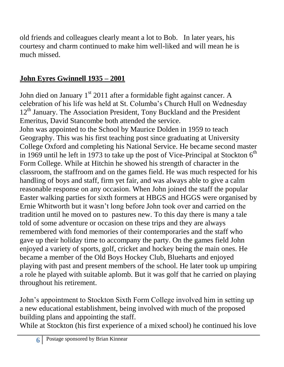old friends and colleagues clearly meant a lot to Bob. In later years, his courtesy and charm continued to make him well-liked and will mean he is much missed.

## **John Eyres Gwinnell 1935 – 2001**

John died on January  $1<sup>st</sup>$  2011 after a formidable fight against cancer. A celebration of his life was held at St. Columba"s Church Hull on Wednesday 12<sup>th</sup> January. The Association President, Tony Buckland and the President Emeritus, David Stancombe both attended the service.

John was appointed to the School by Maurice Dolden in 1959 to teach Geography. This was his first teaching post since graduating at University College Oxford and completing his National Service. He became second master in 1969 until he left in 1973 to take up the post of Vice-Principal at Stockton  $6<sup>th</sup>$ Form College. While at Hitchin he showed his strength of character in the classroom, the staffroom and on the games field. He was much respected for his handling of boys and staff, firm yet fair, and was always able to give a calm reasonable response on any occasion. When John joined the staff the popular Easter walking parties for sixth formers at HBGS and HGGS were organised by Ernie Whitworth but it wasn"t long before John took over and carried on the tradition until he moved on to pastures new. To this day there is many a tale told of some adventure or occasion on these trips and they are always remembered with fond memories of their contemporaries and the staff who gave up their holiday time to accompany the party. On the games field John enjoyed a variety of sports, golf, cricket and hockey being the main ones. He became a member of the Old Boys Hockey Club, Blueharts and enjoyed playing with past and present members of the school. He later took up umpiring a role he played with suitable aplomb. But it was golf that he carried on playing throughout his retirement.

John"s appointment to Stockton Sixth Form College involved him in setting up a new educational establishment, being involved with much of the proposed building plans and appointing the staff.

While at Stockton (his first experience of a mixed school) he continued his love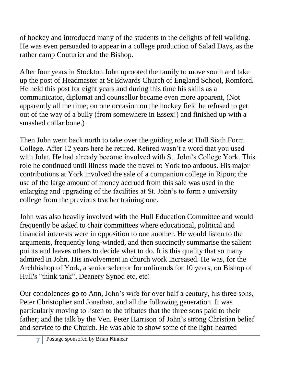of hockey and introduced many of the students to the delights of fell walking. He was even persuaded to appear in a college production of Salad Days, as the rather camp Couturier and the Bishop.

After four years in Stockton John uprooted the family to move south and take up the post of Headmaster at St Edwards Church of England School, Romford. He held this post for eight years and during this time his skills as a communicator, diplomat and counsellor became even more apparent, (Not apparently all the time; on one occasion on the hockey field he refused to get out of the way of a bully (from somewhere in Essex!) and finished up with a smashed collar bone.)

Then John went back north to take over the guiding role at Hull Sixth Form College. After 12 years here he retired. Retired wasn"t a word that you used with John. He had already become involved with St. John's College York. This role he continued until illness made the travel to York too arduous. His major contributions at York involved the sale of a companion college in Ripon; the use of the large amount of money accrued from this sale was used in the enlarging and upgrading of the facilities at St. John"s to form a university college from the previous teacher training one.

John was also heavily involved with the Hull Education Committee and would frequently be asked to chair committees where educational, political and financial interests were in opposition to one another. He would listen to the arguments, frequently long-winded, and then succinctly summarise the salient points and leaves others to decide what to do. It is this quality that so many admired in John. His involvement in church work increased. He was, for the Archbishop of York, a senior selector for ordinands for 10 years, on Bishop of Hull's "think tank", Deanery Synod etc, etc!

Our condolences go to Ann, John"s wife for over half a century, his three sons, Peter Christopher and Jonathan, and all the following generation. It was particularly moving to listen to the tributes that the three sons paid to their father; and the talk by the Ven. Peter Harrison of John"s strong Christian belief and service to the Church. He was able to show some of the light-hearted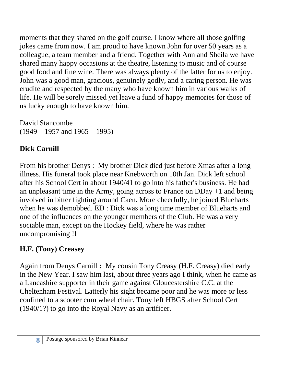moments that they shared on the golf course. I know where all those golfing jokes came from now. I am proud to have known John for over 50 years as a colleague, a team member and a friend. Together with Ann and Sheila we have shared many happy occasions at the theatre, listening to music and of course good food and fine wine. There was always plenty of the latter for us to enjoy. John was a good man, gracious, genuinely godly, and a caring person. He was erudite and respected by the many who have known him in various walks of life. He will be sorely missed yet leave a fund of happy memories for those of us lucky enough to have known him.

David Stancombe  $(1949 - 1957 \text{ and } 1965 - 1995)$ 

## **Dick Carnill**

From his brother Denys : My brother Dick died just before Xmas after a long illness. His funeral took place near Knebworth on 10th Jan. Dick left school after his School Cert in about 1940/41 to go into his father's business. He had an unpleasant time in the Army, going across to France on DDay +1 and being involved in bitter fighting around Caen. More cheerfully, he joined Blueharts when he was demobbed. ED : Dick was a long time member of Blueharts and one of the influences on the younger members of the Club. He was a very sociable man, except on the Hockey field, where he was rather uncompromising !!

## **H.F. (Tony) Creasey**

Again from Denys Carnill **:** My cousin Tony Creasy (H.F. Creasy) died early in the New Year. I saw him last, about three years ago I think, when he came as a Lancashire supporter in their game against Gloucestershire C.C. at the Cheltenham Festival. Latterly his sight became poor and he was more or less confined to a scooter cum wheel chair. Tony left HBGS after School Cert (1940/1?) to go into the Royal Navy as an artificer.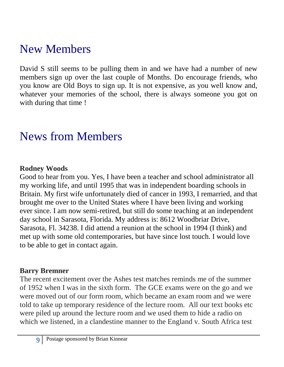# New Members

David S still seems to be pulling them in and we have had a number of new members sign up over the last couple of Months. Do encourage friends, who you know are Old Boys to sign up. It is not expensive, as you well know and, whatever your memories of the school, there is always someone you got on with during that time !

# News from Members

### **Rodney Woods**

Good to hear from you. Yes, I have been a teacher and school administrator all my working life, and until 1995 that was in independent boarding schools in Britain. My first wife unfortunately died of cancer in 1993, I remarried, and that brought me over to the United States where I have been living and working ever since. I am now semi-retired, but still do some teaching at an independent day school in Sarasota, Florida. My address is: 8612 Woodbriar Drive, Sarasota, Fl. 34238. I did attend a reunion at the school in 1994 (I think) and met up with some old contemporaries, but have since lost touch. I would love to be able to get in contact again.

### **Barry Bremner**

The recent excitement over the Ashes test matches reminds me of the summer of 1952 when I was in the sixth form. The GCE exams were on the go and we were moved out of our form room, which became an exam room and we were told to take up temporary residence of the lecture room. All our text books etc were piled up around the lecture room and we used them to hide a radio on which we listened, in a clandestine manner to the England v. South Africa test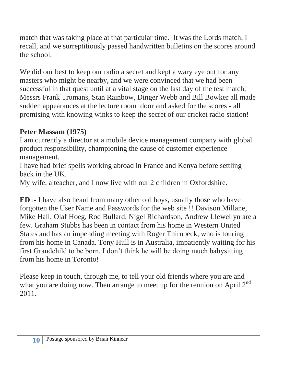match that was taking place at that particular time. It was the Lords match, I recall, and we surreptitiously passed handwritten bulletins on the scores around the school.

We did our best to keep our radio a secret and kept a wary eye out for any masters who might be nearby, and we were convinced that we had been successful in that quest until at a vital stage on the last day of the test match, Messrs Frank Tromans, Stan Rainbow, Dinger Webb and Bill Bowker all made sudden appearances at the lecture room door and asked for the scores - all promising with knowing winks to keep the secret of our cricket radio station!

### **Peter Massam (1975)**

I am currently a director at a mobile device management company with global product responsibility, championing the cause of customer experience management.

I have had brief spells working abroad in France and Kenya before settling back in the UK.

My wife, a teacher, and I now live with our 2 children in Oxfordshire.

**ED** :- I have also heard from many other old boys, usually those who have forgotten the User Name and Passwords for the web site !! Davison Millane, Mike Hall, Olaf Hoeg, Rod Bullard, Nigel Richardson, Andrew Llewellyn are a few. Graham Stubbs has been in contact from his home in Western United States and has an impending meeting with Roger Thirnbeck, who is touring from his home in Canada. Tony Hull is in Australia, impatiently waiting for his first Grandchild to be born. I don"t think he will be doing much babysitting from his home in Toronto!

Please keep in touch, through me, to tell your old friends where you are and what you are doing now. Then arrange to meet up for the reunion on April  $2^{nd}$ 2011.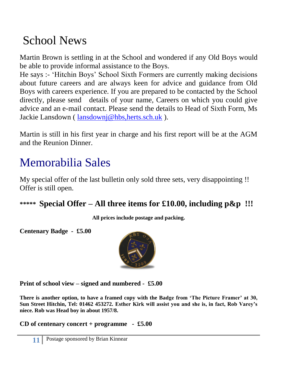# School News

Martin Brown is settling in at the School and wondered if any Old Boys would be able to provide informal assistance to the Boys.

He says :- "Hitchin Boys" School Sixth Formers are currently making decisions about future careers and are always keen for advice and guidance from Old Boys with careers experience. If you are prepared to be contacted by the School directly, please send details of your name, Careers on which you could give advice and an e-mail contact. Please send the details to Head of Sixth Form, Ms Jackie Lansdown ( [lansdownj@hbs,herts.sch.uk](mailto:lansdownj@hbs,herts.sch.uk) ).

Martin is still in his first year in charge and his first report will be at the AGM and the Reunion Dinner.

# Memorabilia Sales

My special offer of the last bulletin only sold three sets, very disappointing !! Offer is still open.

**\*\*\*\*\* Special Offer – All three items for £10.00, including p&p !!!**

**All prices include postage and packing.**

**Centenary Badge - £5.00**



**Print of school view – signed and numbered - £5.00**

**There is another option, to have a framed copy with the Badge from 'The Picture Framer' at 30, Sun Street Hitchin, Tel: 01462 453272. Esther Kirk will assist you and she is, in fact, Rob Varey's niece. Rob was Head boy in about 1957/8.**

**CD of centenary concert + programme - £5.00**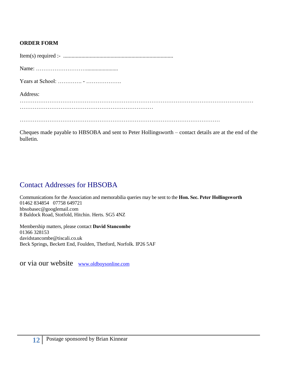#### **ORDER FORM**

| Address: |
|----------|
|          |
|          |
|          |
|          |

Cheques made payable to HBSOBA and sent to Peter Hollingsworth – contact details are at the end of the bulletin.

### Contact Addresses for HBSOBA

Communications for the Association and memorabilia queries may be sent to the **Hon. Sec. Peter Hollingsworth** 01462 834854 07758 649721 hbsobasec@googlemail.com 8 Baldock Road, Stotfold, Hitchin. Herts. SG5 4NZ

Membership matters, please contact **David Stancombe** 01366 328153 davidstancombe@tiscali.co.uk Beck Springs, Beckett End, Foulden, Thetford, Norfolk. IP26 5AF

or via our website [www.oldboysonline.com](http://www.oldboysonline.com/)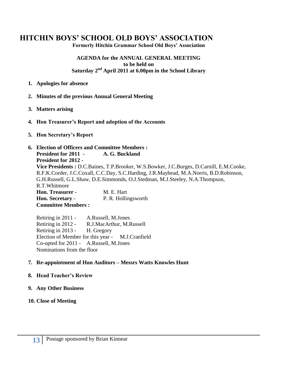### **HITCHIN BOYS' SCHOOL OLD BOYS' ASSOCIATION**

**Formerly Hitchin Grammar School Old Boys' Association**

#### **AGENDA for the ANNUAL GENERAL MEETING to be held on Saturday 2 nd April 2011 at 6.00pm in the School Library**

- **1. Apologies for absence**
- **2. Minutes of the previous Annual General Meeting**
- **3. Matters arising**
- **4. Hon Treasurer's Report and adoption of the Accounts**
- **5. Hon Secretary's Report**

#### **6. Election of Officers and Committee Members : President for 2011 - A. G. Buckland President for 2012 - Vice Presidents :** D.C.Baines, T.P.Brooker, W.S.Bowker, J.C.Burges, D.Carnill, E.M.Cooke, R.F.K.Corder, J.C.Coxall, C.C.Day, S.C.Harding, J.R.Mayhead, M.A.Norris, B.D.Robinson, G.H.Russell, G.L.Shaw, D.E.Simmonds, O.J.Stedman, M.J.Steeley, N.A.Thompson, R.T.Whitmore **Hon. Treasurer -** M. E. Hart **Hon. Secretary -** P. R. Hollingsworth **Committee Members :**

Retiring in 2011 - A.Russell, M.Jones Retiring in 2012 - R.J.MacArthur, M.Russell Retiring in 2013 - H. Gregory Election of Member for this year - M.J.Cranfield Co-opted for 2011 - A.Russell, M.Jones Nominations from the floor

#### **7. Re-appointment of Hon Auditors – Messrs Watts Knowles Hunt**

#### **8. Head Teacher's Review**

#### **9. Any Other Business**

#### **10. Close of Meeting**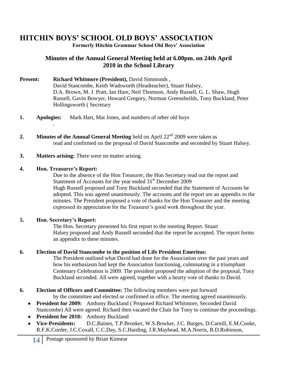### **HITCHIN BOYS' SCHOOL OLD BOYS' ASSOCIATION**

**Formerly Hitchin Grammar School Old Boys' Association**

#### **Minutes of the Annual General Meeting held at 6.00pm. on 24th April 2010 in the School Library**

- Present: Richard Whitmore (President), David Simmonds, David Stancombe, Keith Wadsworth (Headteacher), Stuart Halsey, D.A. Brown, M. J. Pratt, Ian Hare, Neil Thomson, Andy Russell, G. L. Shaw, Hugh Russell, Gavin Bowyer, Howard Gregory, Norman Greensheilds, Tony Buckland, Peter Hollingsworth ( Secretary
- **1. Apologies:** Mark Hart, Mat Jones, and numbers of other old boys
- **2.** Minutes of the Annual General Meeting held on April 22<sup>nd</sup> 2009 were taken as read and confirmed on the proposal of David Stancombe and seconded by Stuart Halsey.
- **3. Matters arising:** There were no matter arising.

#### **4. Hon. Treasurer's Report:**

.

Due to the absence of the Hon Treasurer, the Hon Secretary read out the report and Statement of Accounts for the year ended  $31<sup>st</sup>$  December 2009 Hugh Russell proposed and Tony Buckland seconded that the Statement of Accounts be adopted. This was agreed unanimously. The accounts and the report are an appendix to the minutes. The President proposed a vote of thanks for the Hon Treasurer and the meeting expressed its appreciation for the Treasurer's good work throughout the year.

#### **5. Hon. Secretary's Report:**

The Hon. Secretary presented his first report to the meeting Report. Stuart Halsey proposed and Andy Russell seconded that the report be accepted. The report forms an appendix to these minutes.

#### **6. Election of David Stancombe to the position of Life President Emeritus:**

The President outlined what David had done for the Association over the past years and how his enthusiasm had kept the Association functioning, culminating in a triumphant Centenary Celebration is 2009. The president proposed the adoption of the proposal, Tony Buckland seconded. All were agreed, together with a hearty vote of thanks to David.

- **6. Election of Officers and Committee:** The following members were put forward
	- by the committee and elected or confirmed in office. The meeting agreed unanimously.
	- **President for 2009:** Anthony Buckland ( Proposed Richard Whitmore, Seconded David Stancombe) All were agreed. Richard then vacated the Chair for Tony to continue the proceedings.
	- **• President for 2010:** Anthony Buckland
	- **Vice-Presidents:** D.C.Baines, T.P.Brooker, W.S.Bowker, J.C. Burges, D.Carnill, E.M.Cooke, R.F.K.Corder, J.C.Coxall, C.C.Day, S.C.Harding, J.R.Mayhead, M.A.Norris, B.D.Robinson,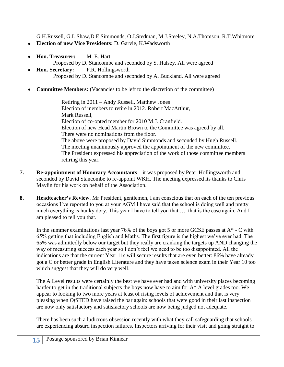G.H.Russell, G.L.Shaw,D.E.Simmonds, O.J.Stedman, M.J.Steeley, N.A.Thomson, R.T.Whitmore

- **Election of new Vice Presidents:** D. Garvie, K.Wadsworth
- **Hon. Treasurer:** M. E. Hart  $\bullet$ 
	- Proposed by D. Stancombe and seconded by S. Halsey. All were agreed
- **Hon. Secretary:** P.R. Hollingsworth  $\bullet$ Proposed by D. Stancombe and seconded by A. Buckland. All were agreed
- **Committee Members:** (Vacancies to be left to the discretion of the committee)

Retiring in 2011 – Andy Russell, Matthew Jones Election of members to retire in 2012. Robert MacArthur, Mark Russell, Election of co-opted member for 2010 M.J. Cranfield. Election of new Head Martin Brown to the Committee was agreed by all. There were no nominations from the floor. The above were proposed by David Simmonds and seconded by Hugh Russell. The meeting unanimously approved the appointment of the new committee. The President expressed his appreciation of the work of those committee members retiring this year.

- **7. Re-appointment of Honorary Accountants**  it was proposed by Peter Hollingsworth and seconded by David Stancombe to re-appoint WKH. The meeting expressed its thanks to Chris Maylin for his work on behalf of the Association.
- **8. Headteacher's Review.** Mr President, gentlemen, I am conscious that on each of the ten previous occasions I"ve reported to you at your AGM I have said that the school is doing well and pretty much everything is hunky dory. This year I have to tell you that …. that is the case again. And I am pleased to tell you that.

In the summer examinations last year 76% of the boys got 5 or more GCSE passes at  $A^*$  - C with 65% getting that including English and Maths. The first figure is the highest we"ve ever had. The 65% was admittedly below our target but they really are cranking the targets up AND changing the way of measuring success each year so I don"t feel we need to be too disappointed. All the indications are that the current Year 11s will secure results that are even better: 86% have already got a C or better grade in English Literature and they have taken science exam in their Year 10 too which suggest that they will do very well.

The A Level results were certainly the best we have ever had and with university places becoming harder to get in the traditional subjects the boys now have to aim for A\* A level grades too. We appear to looking to two more years at least of rising levels of achievement and that is very pleasing when O*f*STED have raised the bar again: schools that were good in their last inspection are now only satisfactory and satisfactory schools are now being judged not adequate.

There has been such a ludicrous obsession recently with what they call safeguarding that schools are experiencing absurd inspection failures. Inspectors arriving for their visit and going straight to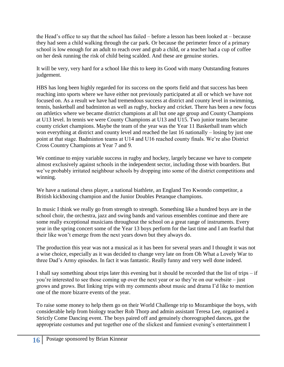the Head"s office to say that the school has failed – before a lesson has been looked at – because they had seen a child walking through the car park. Or because the perimeter fence of a primary school is low enough for an adult to reach over and grab a child, or a teacher had a cup of coffee on her desk running the risk of child being scalded. And these are genuine stories.

It will be very, very hard for a school like this to keep its Good with many Outstanding features judgement.

HBS has long been highly regarded for its success on the sports field and that success has been reaching into sports where we have either not previously participated at all or which we have not focused on. As a result we have had tremendous success at district and county level in swimming, tennis, basketball and badminton as well as rugby, hockey and cricket. There has been a new focus on athletics where we became district champions at all but one age group and County Champions at U13 level. In tennis we were County Champions at U13 and U15. Two junior teams became county cricket champions. Maybe the team of the year was the Year 11 Basketball team which won everything at district and county level and reached the last 16 nationally – losing by just one point at that stage. Badminton teams at U14 and U16 reached county finals. We"re also District Cross Country Champions at Year 7 and 9.

We continue to enjoy variable success in rugby and hockey, largely because we have to compete almost exclusively against schools in the independent sector, including those with boarders. But we"ve probably irritated neighbour schools by dropping into some of the district competitions and winning.

We have a national chess player, a national biathlete, an England Teo Kwondo competitor, a British kickboxing champion and the Junior Doubles Petanque champions.

In music I think we really go from strength to strength. Something like a hundred boys are in the school choir, the orchestra, jazz and swing bands and various ensembles continue and there are some really exceptional musicians throughout the school on a great range of instruments. Every year in the spring concert some of the Year 13 boys perform for the last time and I am fearful that their like won"t emerge from the next years down but they always do.

The production this year was not a musical as it has been for several years and I thought it was not a wise choice, especially as it was decided to change very late on from Oh What a Lovely War to three Dad"s Army episodes. In fact it was fantastic. Really funny and very well done indeed.

I shall say something about trips later this evening but it should be recorded that the list of trips – if you"re interested to see those coming up over the next year or so they"re on our website – just grows and grows. But linking trips with my comments about music and drama I"d like to mention one of the more bizarre events of the year.

To raise some money to help them go on their World Challenge trip to Mozambique the boys, with considerable help from biology teacher Rob Thorp and admin assistant Teresa Lee, organised a Strictly Come Dancing event. The boys paired off and genuinely choreographed dances, got the appropriate costumes and put together one of the slickest and funniest evening"s entertainment I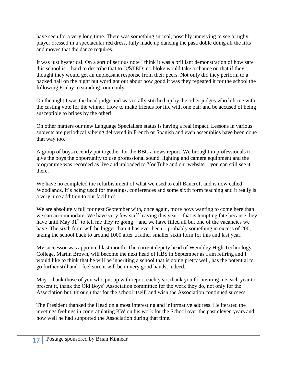have seen for a very long time. There was something surreal, possibly unnerving to see a rugby player dressed in a spectacular red dress, fully made up dancing the pasa doble doing all the lifts and moves that the dance requires.

It was just hysterical. On a sort of serious note I think it was a brilliant demonstration of how safe this school is – hard to describe that to O*f*STED: no bloke would take a chance on that if they thought they would get an unpleasant response from their peers. Not only did they perform to a packed hall on the night but word got out about how good it was they repeated it for the school the following Friday to standing room only.

On the night I was the head judge and was totally stitched up by the other judges who left me with the casting vote for the winner. How to make friends for life with one pair and be accused of being susceptible to bribes by the other!

On other matters our new Language Specialism status is having a real impact. Lessons in various subjects are periodically being delivered in French or Spanish and even assemblies have been done that way too.

A group of boys recently put together for the BBC a news report. We brought in professionals to give the boys the opportunity to use professional sound, lighting and camera equipment and the programme was recorded as live and uploaded to YouTube and our website – you can still see it there.

We have no completed the refurbishment of what we used to call Bancroft and is now called Woodlands. It's being used for meetings, conferences and some sixth form teaching and it really is a very nice addition to our facilities.

We are absolutely full for next September with, once again, more boys wanting to come here than we can accommodate. We have very few staff leaving this year – that is tempting fate because they have until May  $31<sup>st</sup>$  to tell me they're going – and we have filled all but one of the vacancies we have. The sixth form will be bigger than it has ever been – probably something in excess of 200, taking the school back to around 1000 after a rather smaller sixth form for this and last year.

My successor was appointed last month. The current deputy head of Wembley High Technology College, Martin Brown, will become the next head of HBS in September as I am retiring and I would like to think that he will be inheriting a school that is doing pretty well, has the potential to go further still and I feel sure it will be in very good hands, indeed.

May I thank those of you who put up with report each year, thank you for inviting me each year to present it, thank the Old Boys" Association committee for the work they do, not only for the Association but, through that for the school itself, and wish the Association continued success.

The President thanked the Head on a most interesting and informative address. He iterated the meetings feelings in congratulating KW on his work for the School over the past eleven years and how well he had supported the Association during that time.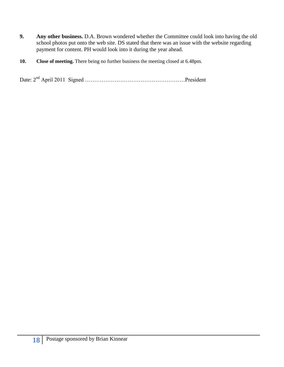- **9. Any other business.** D.A. Brown wondered whether the Committee could look into having the old school photos put onto the web site. DS stated that there was an issue with the website regarding payment for content. PH would look into it during the year ahead.
- **10. Close of meeting.** There being no further business the meeting closed at 6.48pm.

Date: 2nd April 2011 Signed ………………………………………………President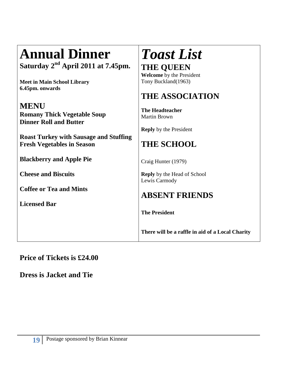# **Annual Dinner**

**Saturday 2nd April 2011 at 7.45pm.**

**Meet in Main School Library 6.45pm. onwards**

## **MENU**

**Romany Thick Vegetable Soup Dinner Roll and Butter**

**Roast Turkey with Sausage and Stuffing Fresh Vegetables in Season**

**Blackberry and Apple Pie**

**Cheese and Biscuits**

**Coffee or Tea and Mints**

**Licensed Bar**

# *Toast List* **THE QUEEN**

**Welcome** by the President Tony Buckland(1963)

## **THE ASSOCIATION**

**The Headteacher** Martin Brown

**Reply** by the President

## **THE SCHOOL**

Craig Hunter (1979)

**Reply** by the Head of School Lewis Carmody

## **ABSENT FRIENDS**

**The President**

**There will be a raffle in aid of a Local Charity**

### **Price of Tickets is £24.00**

**Dress is Jacket and Tie**